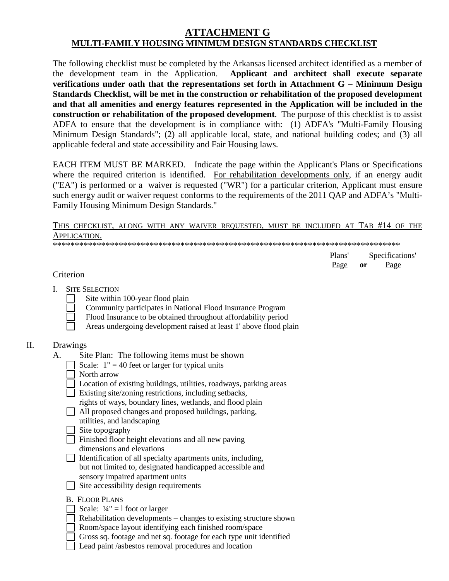# **ATTACHMENT G MULTI-FAMILY HOUSING MINIMUM DESIGN STANDARDS CHECKLIST**

The following checklist must be completed by the Arkansas licensed architect identified as a member of the development team in the Application. **Applicant and architect shall execute separate verifications under oath that the representations set forth in Attachment G – Minimum Design Standards Checklist, will be met in the construction or rehabilitation of the proposed development and that all amenities and energy features represented in the Application will be included in the construction or rehabilitation of the proposed development**. The purpose of this checklist is to assist ADFA to ensure that the development is in compliance with: (1) ADFA's "Multi-Family Housing Minimum Design Standards"; (2) all applicable local, state, and national building codes; and (3) all applicable federal and state accessibility and Fair Housing laws.

EACH ITEM MUST BE MARKED. Indicate the page within the Applicant's Plans or Specifications where the required criterion is identified. For rehabilitation developments only, if an energy audit ("EA") is performed or a waiver is requested ("WR") for a particular criterion, Applicant must ensure such energy audit or waiver request conforms to the requirements of the 2011 QAP and ADFA's "Multi-Family Housing Minimum Design Standards."

## THIS CHECKLIST, ALONG WITH ANY WAIVER REQUESTED, MUST BE INCLUDED AT TAB #14 OF THE APPLICATION.

\*\*\*\*\*\*\*\*\*\*\*\*\*\*\*\*\*\*\*\*\*\*\*\*\*\*\*\*\*\*\*\*\*\*\*\*\*\*\*\*\*\*\*\*\*\*\*\*\*\*\*\*\*\*\*\*\*\*\*\*\*\*\*\*\*\*\*\*\*\*\*\*\*\*\*\*\*\*\*

| Plans' | Specifications' |      |
|--------|-----------------|------|
| Page   | or              | Page |

## **Criterion**

- I. SITE SELECTION
	- Site within 100-year flood plain
	- Community participates in National Flood Insurance Program
	- Flood Insurance to be obtained throughout affordability period
	- Areas undergoing development raised at least 1' above flood plain

## II. Drawings

- A. Site Plan: The following items must be shown
	- Scale:  $1'' = 40$  feet or larger for typical units
	- North arrow
	- $\Box$  Location of existing buildings, utilities, roadways, parking areas
	- Existing site/zoning restrictions, including setbacks,
		- rights of ways, boundary lines, wetlands, and flood plain
	- All proposed changes and proposed buildings, parking, utilities, and landscaping
	- $\Box$  Site topography
	- $\Box$  Finished floor height elevations and all new paving
		- dimensions and elevations
	- $\Box$  Identification of all specialty apartments units, including, but not limited to, designated handicapped accessible and sensory impaired apartment units
	- $\Box$  Site accessibility design requirements
	- B. FLOOR PLANS
	- $\Box$  Scale:  $\frac{1}{4}$ " = 1 foot or larger
	- Rehabilitation developments changes to existing structure shown
	- Room/space layout identifying each finished room/space
	- Gross sq. footage and net sq. footage for each type unit identified
	- Lead paint /asbestos removal procedures and location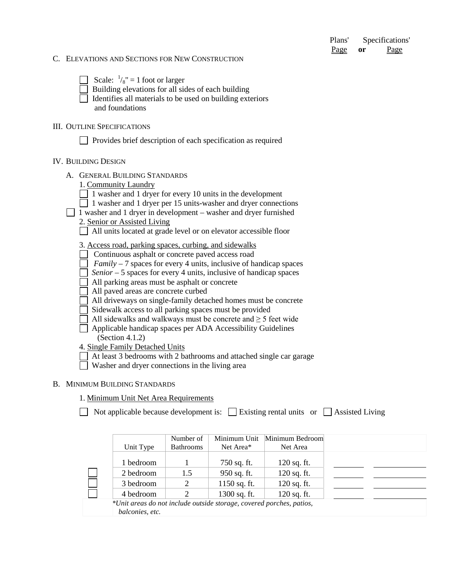| Plans' | Specifications' |      |
|--------|-----------------|------|
| Page   | or              | Page |

#### C. ELEVATIONS AND SECTIONS FOR NEW CONSTRUCTION

Scale:  $\frac{1}{8}$ " = 1 foot or larger

 $\Box$  Building elevations for all sides of each building

 $\Box$  Identifies all materials to be used on building exteriors and foundations

#### III. OUTLINE SPECIFICATIONS

Provides brief description of each specification as required

#### IV. BUILDING DESIGN

A. GENERAL BUILDING STANDARDS

| 1. Community Laundry |  |
|----------------------|--|
|                      |  |

 $\Box$  1 washer and 1 dryer for every 10 units in the development

- 1 washer and 1 dryer per 15 units-washer and dryer connections
- 1 washer and 1 dryer in development washer and dryer furnished
	- 2. Senior or Assisted Living

All units located at grade level or on elevator accessible floor

3. Access road, parking spaces, curbing, and sidewalks

Continuous asphalt or concrete paved access road

*Family* – 7 spaces for every 4 units, inclusive of handicap spaces

 $\Box$  *Senior* – 5 spaces for every 4 units, inclusive of handicap spaces

All parking areas must be asphalt or concrete

All paved areas are concrete curbed

All driveways on single-family detached homes must be concrete

Sidewalk access to all parking spaces must be provided

 $\Box$  All sidewalks and walkways must be concrete and ≥ 5 feet wide

 Applicable handicap spaces per ADA Accessibility Guidelines (Section 4.1.2)

4. Single Family Detached Units

At least 3 bedrooms with 2 bathrooms and attached single car garage

Washer and dryer connections in the living area

#### B. MINIMUM BUILDING STANDARDS

1. Minimum Unit Net Area Requirements

 $\Box$  Not applicable because development is:  $\Box$  Existing rental units or  $\Box$  Assisted Living

|                                                                      | Number of        | Minimum Unit   | Minimum Bedroom |  |  |
|----------------------------------------------------------------------|------------------|----------------|-----------------|--|--|
| Unit Type                                                            | <b>Bathrooms</b> | Net Area*      | Net Area        |  |  |
|                                                                      |                  |                |                 |  |  |
| 1 bedroom                                                            |                  | 750 sq. ft.    | $120$ sq. ft.   |  |  |
| 2 bedroom                                                            | 1.5              | 950 sq. ft.    | 120 sq. ft.     |  |  |
| 3 bedroom                                                            | 2                | $1150$ sq. ft. | $120$ sq. ft.   |  |  |
| 4 bedroom                                                            | 2                | $1300$ sq. ft. | $120$ sq. ft.   |  |  |
| *Unit areas do not include outside storage, covered porches, patios, |                  |                |                 |  |  |
| balconies, etc.                                                      |                  |                |                 |  |  |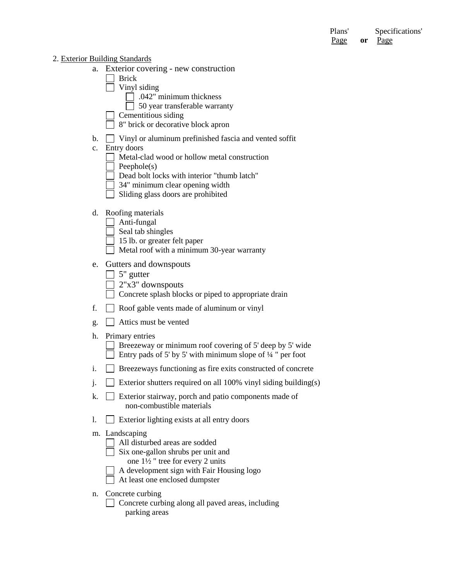Plans' Specifications' Page **or** Page

#### 2. Exterior Building Standards

- a. Exterior covering new construction
	- **□** Brick
		- $\Box$  Vinyl siding
			- $\Box$  .042" minimum thickness
			- $\Box$  50 year transferable warranty
		- Cementitious siding
		- 8" brick or decorative block apron
- b. Vinyl or aluminum prefinished fascia and vented soffit
- c. Entry doors
	- Metal-clad wood or hollow metal construction
	- $\Box$  Peephole(s)
	- Dead bolt locks with interior "thumb latch"
	- 34" minimum clear opening width
	- $\Box$  Sliding glass doors are prohibited

### d. Roofing materials

- $\Box$  Anti-fungal
- $\Box$  Seal tab shingles
- □ 15 lb. or greater felt paper
- Metal roof with a minimum 30-year warranty

## e. Gutters and downspouts

- $\Box$  5" gutter
- $\Box$  2"x3" downspouts
- Concrete splash blocks or piped to appropriate drain
- f. Roof gable vents made of aluminum or vinyl
- g. Attics must be vented
- h. Primary entries

 $\Box$  Breezeway or minimum roof covering of 5' deep by 5' wide Entry pads of 5' by 5' with minimum slope of  $\frac{1}{4}$ " per foot

- i. Breezeways functioning as fire exits constructed of concrete
- j.  $\Box$  Exterior shutters required on all 100% vinyl siding building(s)
- k.  $\Box$  Exterior stairway, porch and patio components made of non-combustible materials
- 1.  $\Box$  Exterior lighting exists at all entry doors
- m. Landscaping
	- All disturbed areas are sodded
	- Six one-gallon shrubs per unit and
		- one 1½ " tree for every 2 units
	- A development sign with Fair Housing logo
	- At least one enclosed dumpster
- n. Concrete curbing
	- Concrete curbing along all paved areas, including parking areas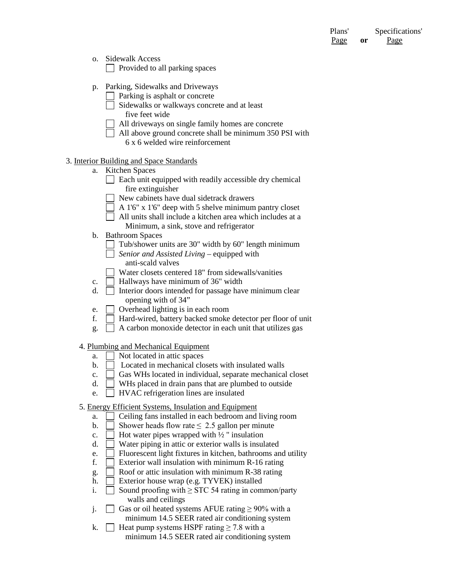Plans' Specifications' Page **or** Page

- o. Sidewalk Access  $\Box$  Provided to all parking spaces
- p. Parking, Sidewalks and Driveways
	- $\Box$  Parking is asphalt or concrete
	- Sidewalks or walkways concrete and at least five feet wide
	- All driveways on single family homes are concrete
	- All above ground concrete shall be minimum 350 PSI with 6 x 6 welded wire reinforcement

#### 3. Interior Building and Space Standards

- a. Kitchen Spaces
	- $\Box$  Each unit equipped with readily accessible dry chemical fire extinguisher
	- New cabinets have dual sidetrack drawers
	- A 1'6" x 1'6" deep with 5 shelve minimum pantry closet
		- All units shall include a kitchen area which includes at a Minimum, a sink, stove and refrigerator
- b. Bathroom Spaces
	- $\Box$  Tub/shower units are 30" width by 60" length minimum
	- *Senior and Assisted Living* equipped with anti-scald valves
	- Water closets centered 18" from sidewalls/vanities
- c.  $\Box$  Hallways have minimum of 36" width
- d.  $\Box$  Interior doors intended for passage have minimum clear opening with of 34"
- e. Overhead lighting is in each room
- f. Hard-wired, battery backed smoke detector per floor of unit
- g.  $\Box$  A carbon monoxide detector in each unit that utilizes gas

#### 4. Plumbing and Mechanical Equipment

- a.  $\Box$  Not located in attic spaces
- $\mathbf{b}$ .  $\Box$  Located in mechanical closets with insulated walls
- c.  $\Box$  Gas WHs located in individual, separate mechanical closet
- d. WHs placed in drain pans that are plumbed to outside
- e. HVAC refrigeration lines are insulated
- 5. Energy Efficient Systems, Insulation and Equipment
	- a.  $\Box$  Ceiling fans installed in each bedroom and living room
	- b.  $\Box$  Shower heads flow rate  $\leq$  2.5 gallon per minute
	- c.  $\Box$  Hot water pipes wrapped with  $\frac{1}{2}$  " insulation
	- d.  $\Box$  Water piping in attic or exterior walls is insulated
	- e. Fluorescent light fixtures in kitchen, bathrooms and utility
	- f. Exterior wall insulation with minimum  $R-16$  rating
	- g.  $\Box$  Roof or attic insulation with minimum R-38 rating
	- h.  $\Box$  Exterior house wrap (e.g. TYVEK) installed
	- i.  $\Box$  Sound proofing with ≥ STC 54 rating in common/party walls and ceilings
	- j.  $□$  Gas or oil heated systems AFUE rating ≥ 90% with a minimum 14.5 SEER rated air conditioning system
	- k. Heat pump systems HSPF rating  $\geq 7.8$  with a minimum 14.5 SEER rated air conditioning system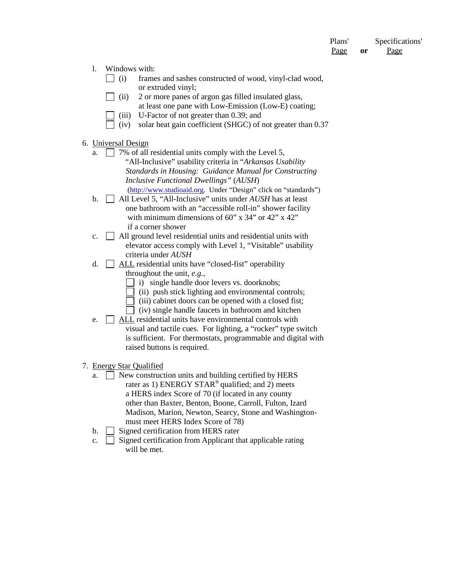Plans' Specifications' Page **or** Page

- l. Windows with:
	- $\Box$  (i) frames and sashes constructed of wood, vinyl-clad wood, or extruded vinyl;
	- $\Box$  (ii) 2 or more panes of argon gas filled insulated glass, at least one pane with Low-Emission (Low-E) coating;
	- (iii) U-Factor of not greater than 0.39; and
	- $\Box$  (iv) solar heat gain coefficient (SHGC) of not greater than 0.37
- 6. Universal Design
	- a.  $\Box$  7% of all residential units comply with the Level 5, "All-Inclusive" usability criteria in "*Arkansas Usability Standards in Housing: Guidance Manual for Constructing Inclusive Functional Dwellings"* (*AUSH*) [\(http://www.studioaid.org.](http://www.studioaid.org/) Under "Design" click on "standards")
	- b. All Level 5, "All-Inclusive" units under *AUSH* has at least one bathroom with an "accessible roll-in" shower facility with minimum dimensions of 60" x 34" or 42" x 42" if a corner shower
	- c.  $\Box$  All ground level residential units and residential units with elevator access comply with Level 1, "Visitable" usability criteria under *AUSH*
	- d. ALL residential units have "closed-fist" operability
		- throughout the unit, *e.g.,*
		- i) single handle door levers vs. doorknobs;
		- $\Box$  (ii) push stick lighting and environmental controls;
		- $\Box$  (iii) cabinet doors can be opened with a closed fist;
		- $\Box$  (iv) single handle faucets in bathroom and kitchen
	- e.  $\Box$  ALL residential units have environmental controls with visual and tactile cues. For lighting, a "rocker" type switch is sufficient. For thermostats, programmable and digital with raised buttons is required.
- 7. Energy Star Qualified
	- a. New construction units and building certified by HERS rater as 1) ENERGY STAR<sup>®</sup> qualified; and 2) meets a HERS index Score of 70 (if located in any county other than Baxter, Benton, Boone, Carroll, Fulton, Izard Madison, Marion, Newton, Searcy, Stone and Washingtonmust meet HERS Index Score of 78)
	- b.  $\Box$  Signed certification from HERS rater
	- c.  $\Box$  Signed certification from Applicant that applicable rating will be met.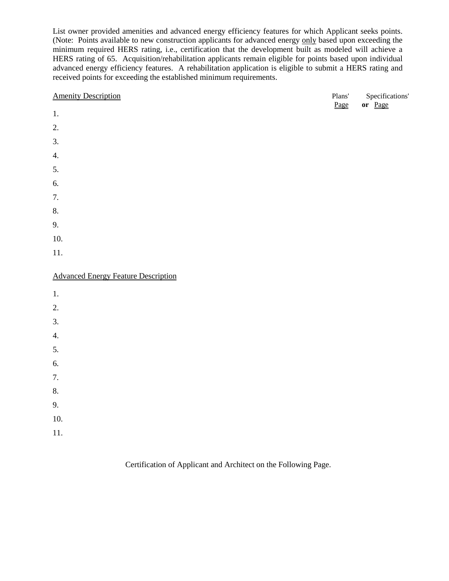List owner provided amenities and advanced energy efficiency features for which Applicant seeks points. (Note: Points available to new construction applicants for advanced energy only based upon exceeding the minimum required HERS rating, i.e., certification that the development built as modeled will achieve a HERS rating of 65. Acquisition/rehabilitation applicants remain eligible for points based upon individual advanced energy efficiency features. A rehabilitation application is eligible to submit a HERS rating and received points for exceeding the established minimum requirements.

| 2.<br>3.<br>4.<br>5.<br>6.<br>7.<br>8.<br>10.<br>11.<br>2.<br>3.<br>4.<br>5.<br>6.<br>7.<br>8.<br>9. | <b>Amenity Description</b>                 | Plans'<br>Page | Specifications'<br>or Page |
|------------------------------------------------------------------------------------------------------|--------------------------------------------|----------------|----------------------------|
|                                                                                                      | $1.$                                       |                |                            |
|                                                                                                      |                                            |                |                            |
|                                                                                                      |                                            |                |                            |
|                                                                                                      |                                            |                |                            |
|                                                                                                      |                                            |                |                            |
|                                                                                                      |                                            |                |                            |
|                                                                                                      |                                            |                |                            |
|                                                                                                      |                                            |                |                            |
|                                                                                                      | 9.                                         |                |                            |
|                                                                                                      |                                            |                |                            |
|                                                                                                      |                                            |                |                            |
|                                                                                                      | <b>Advanced Energy Feature Description</b> |                |                            |
|                                                                                                      | $1.$                                       |                |                            |
|                                                                                                      |                                            |                |                            |
|                                                                                                      |                                            |                |                            |
|                                                                                                      |                                            |                |                            |
|                                                                                                      |                                            |                |                            |
|                                                                                                      |                                            |                |                            |
|                                                                                                      |                                            |                |                            |
|                                                                                                      |                                            |                |                            |
|                                                                                                      |                                            |                |                            |

- 10.
- 11.

Certification of Applicant and Architect on the Following Page.